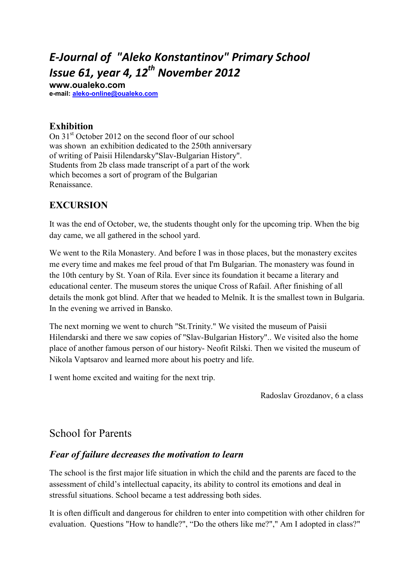# *E-Journal of "Aleko Konstantinov" Primary School Issue 61, year 4, 12th November 2012*

**www.oualeko.com е-mail: aleko-online@oualeko.com**

### **Еxhibition**

On 31<sup>st</sup> October 2012 on the second floor of our school was shown an exhibition dedicated to the 250th anniversary of writing of Paisii Hilendarsky"Slav-Bulgarian History". Students from 2b class made transcript of a part of the work which becomes a sort of program of the Bulgarian Renaissance.

# **EXCURSION**

It was the end of October, we, the students thought only for the upcoming trip. When the big day came, we all gathered in the school yard.

We went to the Rila Monastery. And before I was in those places, but the monastery excites me every time and makes me feel proud of that I'm Bulgarian. The monastery was found in the 10th century by St. Yoan of Rila. Ever since its foundation it became a literary and educational center. The museum stores the unique Cross of Rafail. After finishing of all details the monk got blind. After that we headed to Melnik. It is the smallest town in Bulgaria. In the evening we arrived in Bansko.

The next morning we went to church "St.Trinity." We visited the museum of Paisii Hilendarski and there we saw copies of "Slav-Bulgarian History".. We visited also the home place of another famous person of our history- Neofit Rilski. Then we visited the museum of Nikola Vaptsarov and learned more about his poetry and life.

I went home excited and waiting for the next trip.

Radoslav Grozdanov, 6 a class

# School for Parents

#### *Fear of failure decreases the motivation to learn*

The school is the first major life situation in which the child and the parents are faced to the assessment of child's intellectual capacity, its ability to control its emotions and deal in stressful situations. School became a test addressing both sides.

It is often difficult and dangerous for children to enter into competition with other children for evaluation. Questions "How to handle?", "Do the others like me?"," Am I adopted in class?"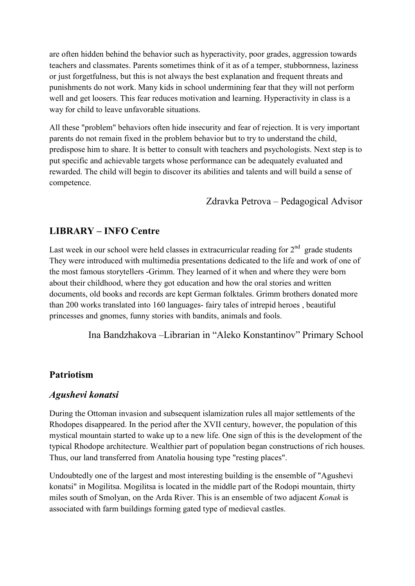are often hidden behind the behavior such as hyperactivity, poor grades, aggression towards teachers and classmates. Parents sometimes think of it as of a temper, stubbornness, laziness or just forgetfulness, but this is not always the best explanation and frequent threats and punishments do not work. Many kids in school undermining fear that they will not perform well and get loosers. This fear reduces motivation and learning. Hyperactivity in class is a way for child to leave unfavorable situations.

All these "problem" behaviors often hide insecurity and fear of rejection. It is very important parents do not remain fixed in the problem behavior but to try to understand the child, predispose him to share. It is better to consult with teachers and psychologists. Next step is to put specific and achievable targets whose performance can be adequately evaluated and rewarded. The child will begin to discover its abilities and talents and will build a sense of competence.

#### Zdravka Petrova – Pedagogical Advisor

# **LIBRARY – IFO Centre**

Last week in our school were held classes in extracurricular reading for  $2<sup>nd</sup>$  grade students They were introduced with multimedia presentations dedicated to the life and work of one of the most famous storytellers -Grimm. They learned of it when and where they were born about their childhood, where they got education and how the oral stories and written documents, old books and records are kept German folktales. Grimm brothers donated more than 200 works translated into 160 languages- fairy tales of intrepid heroes , beautiful princesses and gnomes, funny stories with bandits, animals and fools.

Ina Bandzhakova –Librarian in "Aleko Konstantinov" Primary School

# **Patriotism**

# *Agushevi konatsi*

During the Ottoman invasion and subsequent islamization rules all major settlements of the Rhodopes disappeared. In the period after the XVII century, however, the population of this mystical mountain started to wake up to a new life. One sign of this is the development of the typical Rhodope architecture. Wealthier part of population began constructions of rich houses. Thus, our land transferred from Anatolia housing type "resting places".

Undoubtedly one of the largest and most interesting building is the ensemble of "Agushevi konatsi" in Mogilitsa. Mogilitsa is located in the middle part of the Rodopi mountain, thirty miles south of Smolyan, on the Arda River. This is an ensemble of two adjacent *Konak* is associated with farm buildings forming gated type of medieval castles.